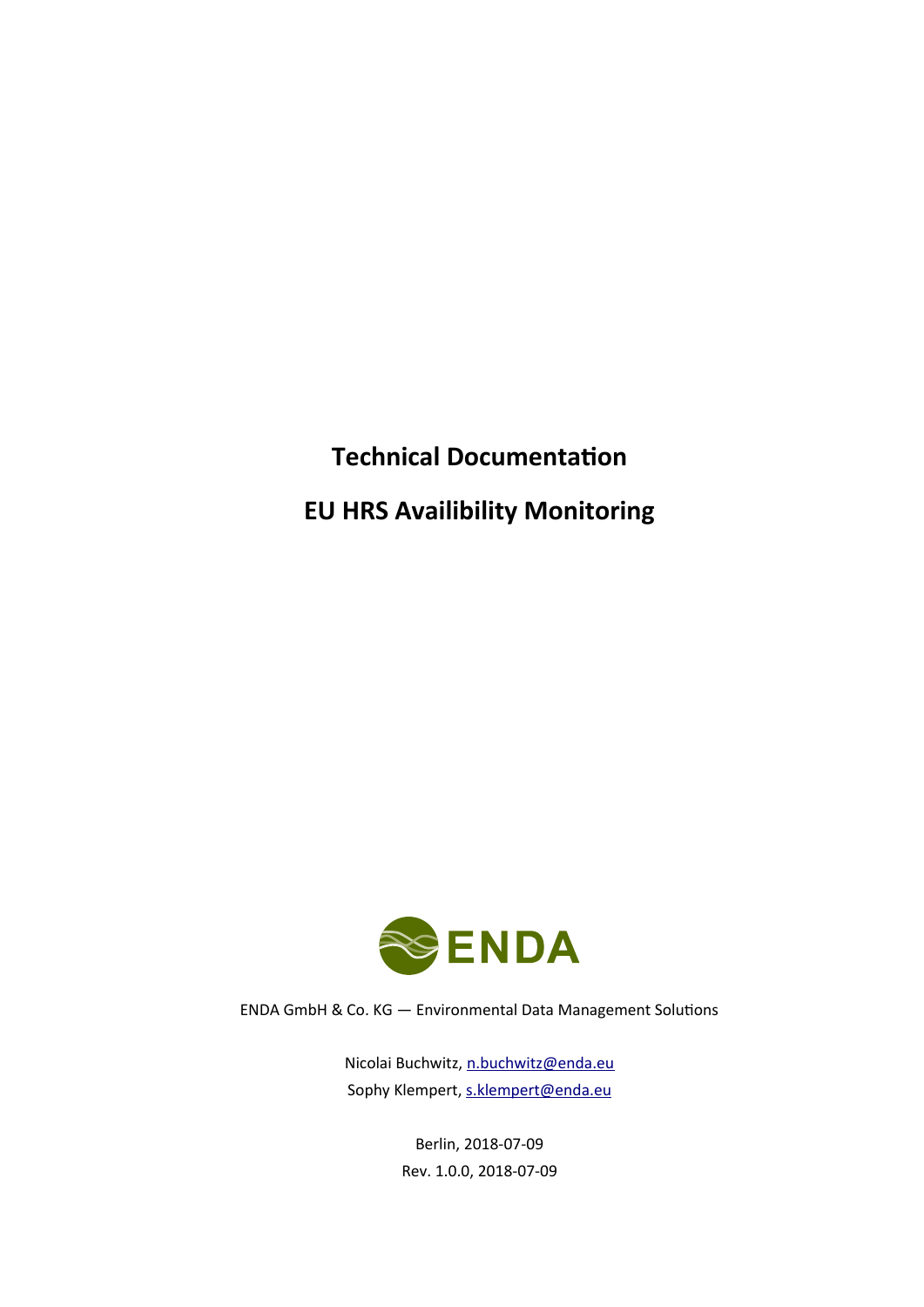# **Technical Documentation EU HRS Availibility Monitoring**



ENDA GmbH & Co. KG — Environmental Data Management Solutions

Nicolai Buchwitz, [n.buchwitz@enda.eu](mailto:n.buchwitz@enda.eu) Sophy Klempert, [s.klempert@enda.eu](mailto:s.klempert@enda.eu)

> Berlin, 2018-07-09 Rev. 1.0.0, 2018-07-09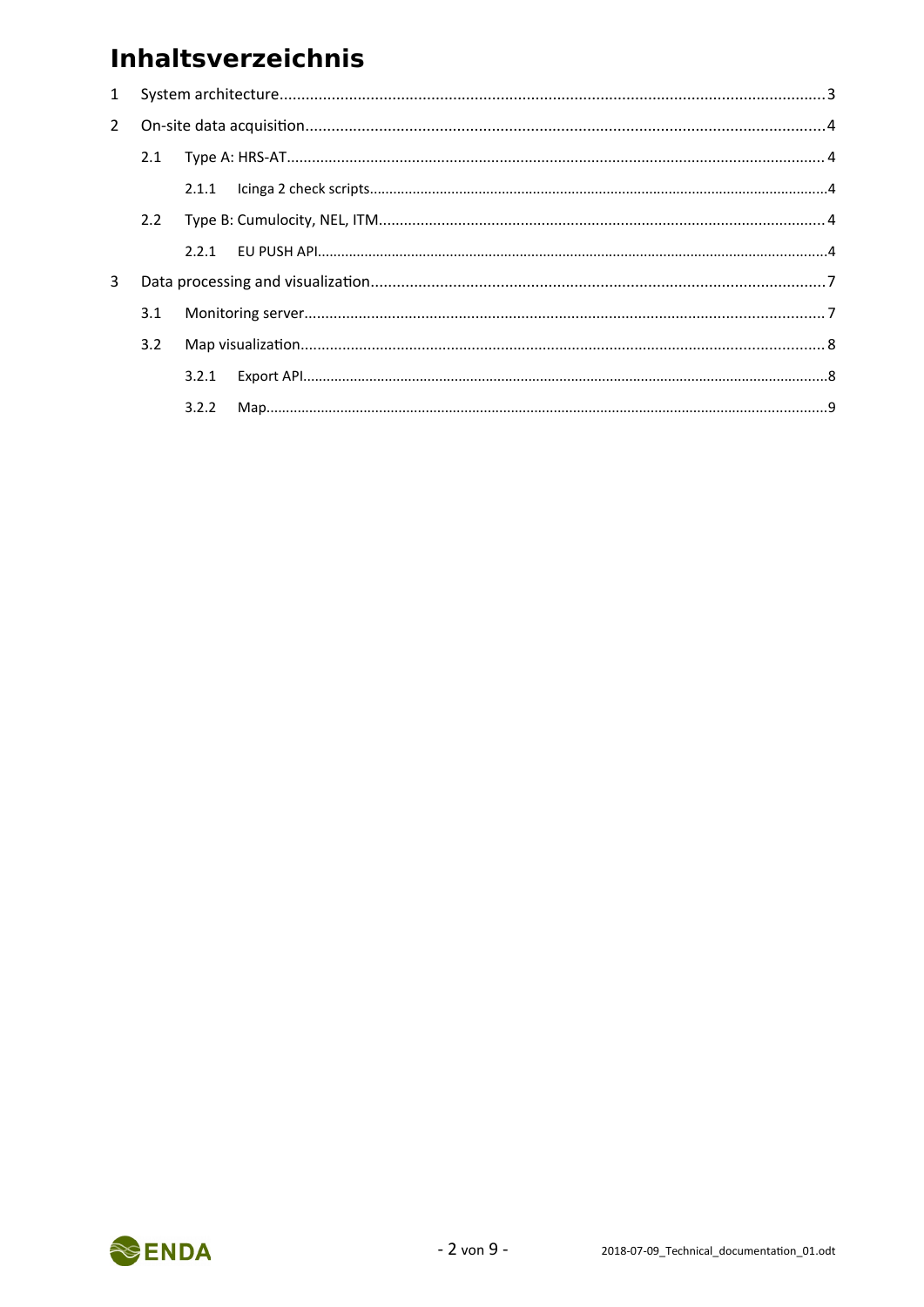## **Inhaltsverzeichnis**

| $\mathbf{1}$ |               |       |  |  |
|--------------|---------------|-------|--|--|
| $2^{\circ}$  |               |       |  |  |
|              | 2.1           |       |  |  |
|              |               |       |  |  |
|              | $2.2^{\circ}$ |       |  |  |
|              |               |       |  |  |
| 3            |               |       |  |  |
|              | 3.1           |       |  |  |
|              | 3.2           |       |  |  |
|              |               | 3.2.1 |  |  |
|              |               | 3.2.2 |  |  |
|              |               |       |  |  |

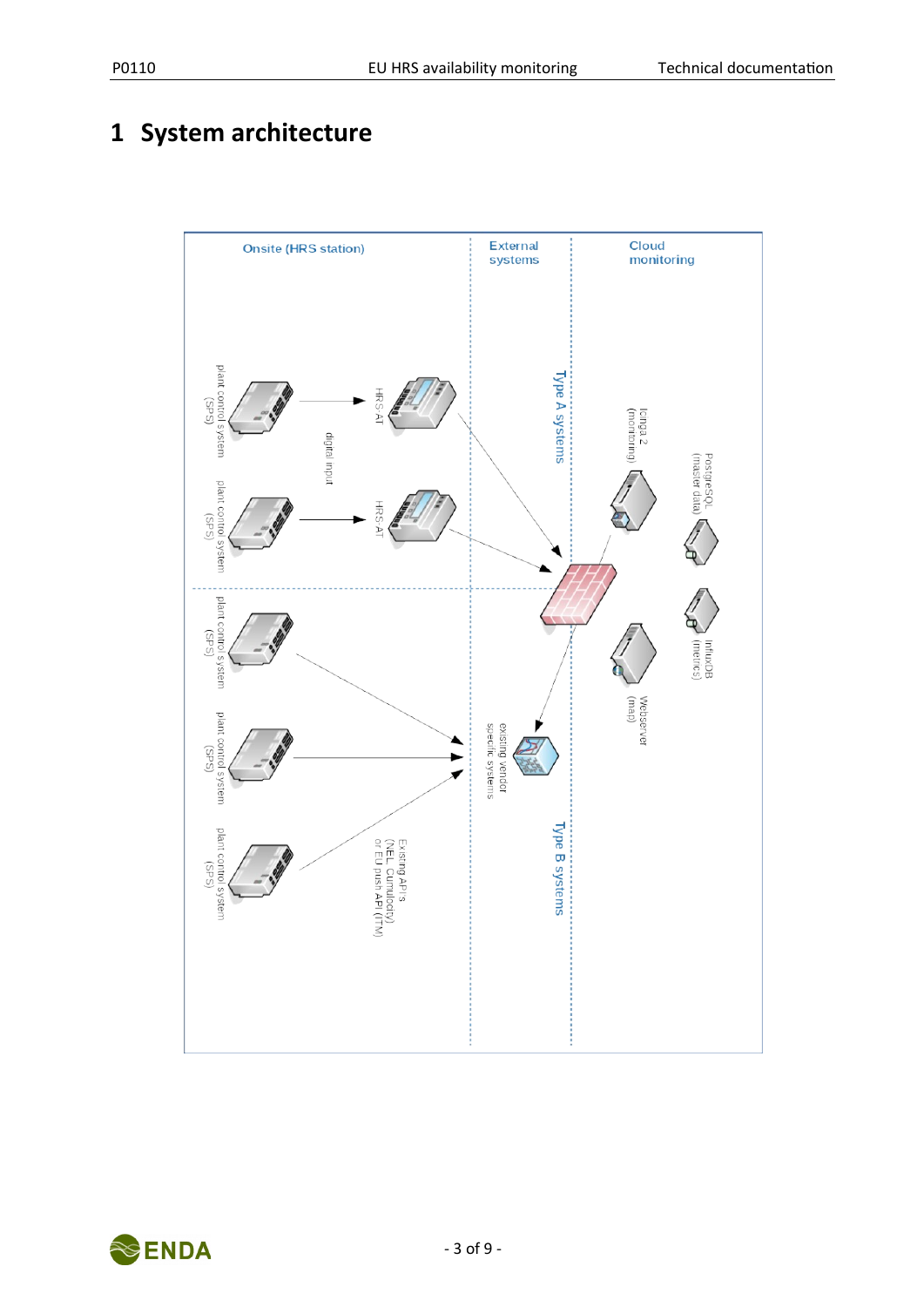## <span id="page-2-0"></span>**1 System architecture**



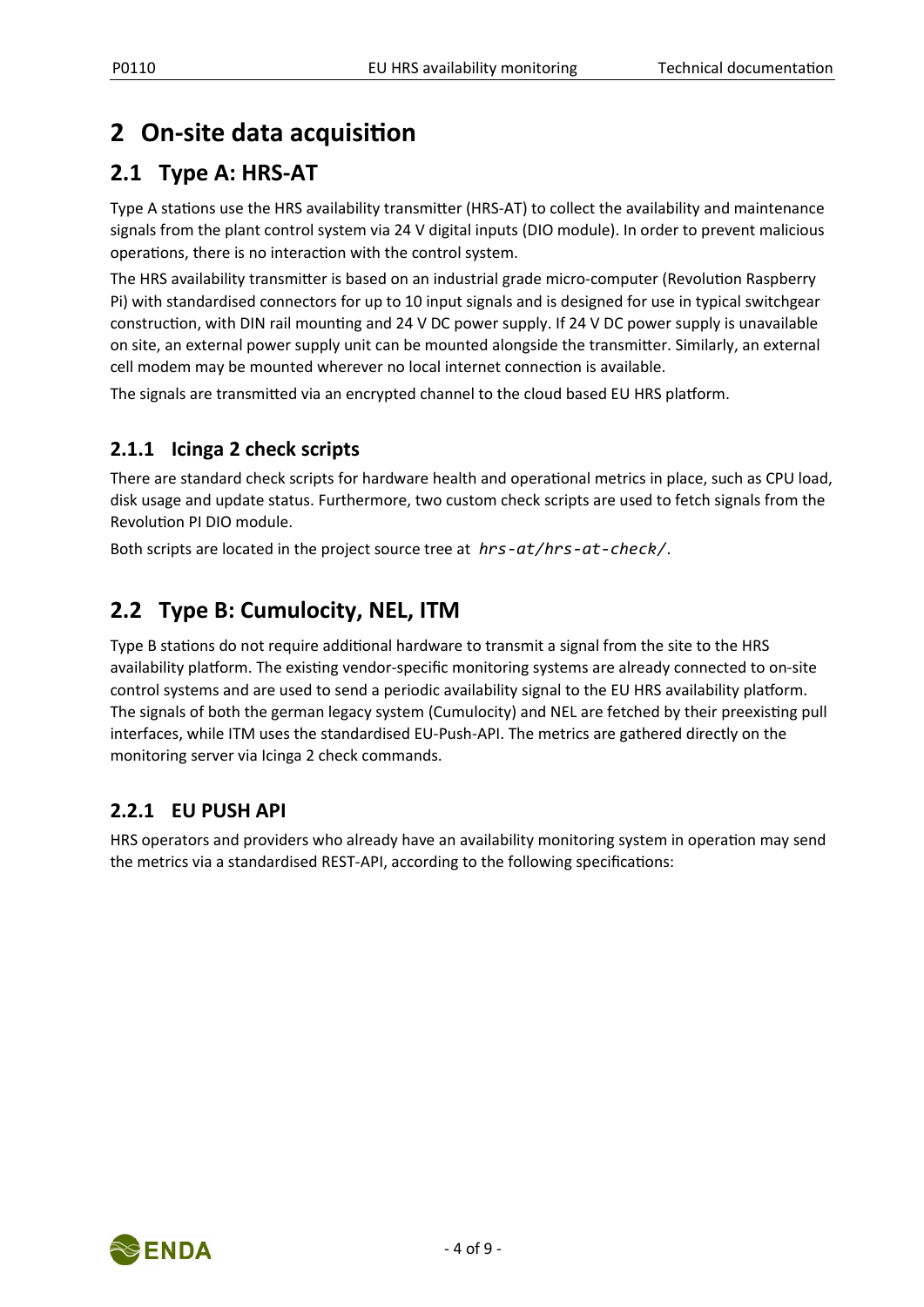## <span id="page-3-0"></span>**2 On-site data acquisition**

## **2.1 Type A: HRS-AT**

Type A stations use the HRS availability transmitter (HRS-AT) to collect the availability and maintenance signals from the plant control system via 24 V digital inputs (DIO module). In order to prevent malicious operations, there is no interaction with the control system.

The HRS availability transmitter is based on an industrial grade micro-computer (Revolution Raspberry Pi) with standardised connectors for up to 10 input signals and is designed for use in typical switchgear construction, with DIN rail mounting and 24 V DC power supply. If 24 V DC power supply is unavailable on site, an external power supply unit can be mounted alongside the transmitter. Similarly, an external cell modem may be mounted wherever no local internet connection is available.

The signals are transmitted via an encrypted channel to the cloud based EU HRS platform.

### **2.1.1 Icinga 2 check scripts**

There are standard check scripts for hardware health and operational metrics in place, such as CPU load, disk usage and update status. Furthermore, two custom check scripts are used to fetch signals from the Revolution PI DIO module.

Both scripts are located in the project source tree at *hrs-at/hrs-at-check/*.

### **2.2 Type B: Cumulocity, NEL, ITM**

Type B stations do not require additional hardware to transmit a signal from the site to the HRS availability platform. The existing vendor-specific monitoring systems are already connected to on-site control systems and are used to send a periodic availability signal to the EU HRS availability platform. The signals of both the german legacy system (Cumulocity) and NEL are fetched by their preexisting pull interfaces, while ITM uses the standardised EU-Push-API. The metrics are gathered directly on the monitoring server via Icinga 2 check commands.

#### **2.2.1 EU PUSH API**

HRS operators and providers who already have an availability monitoring system in operation may send the metrics via a standardised REST-API, according to the following specifications:

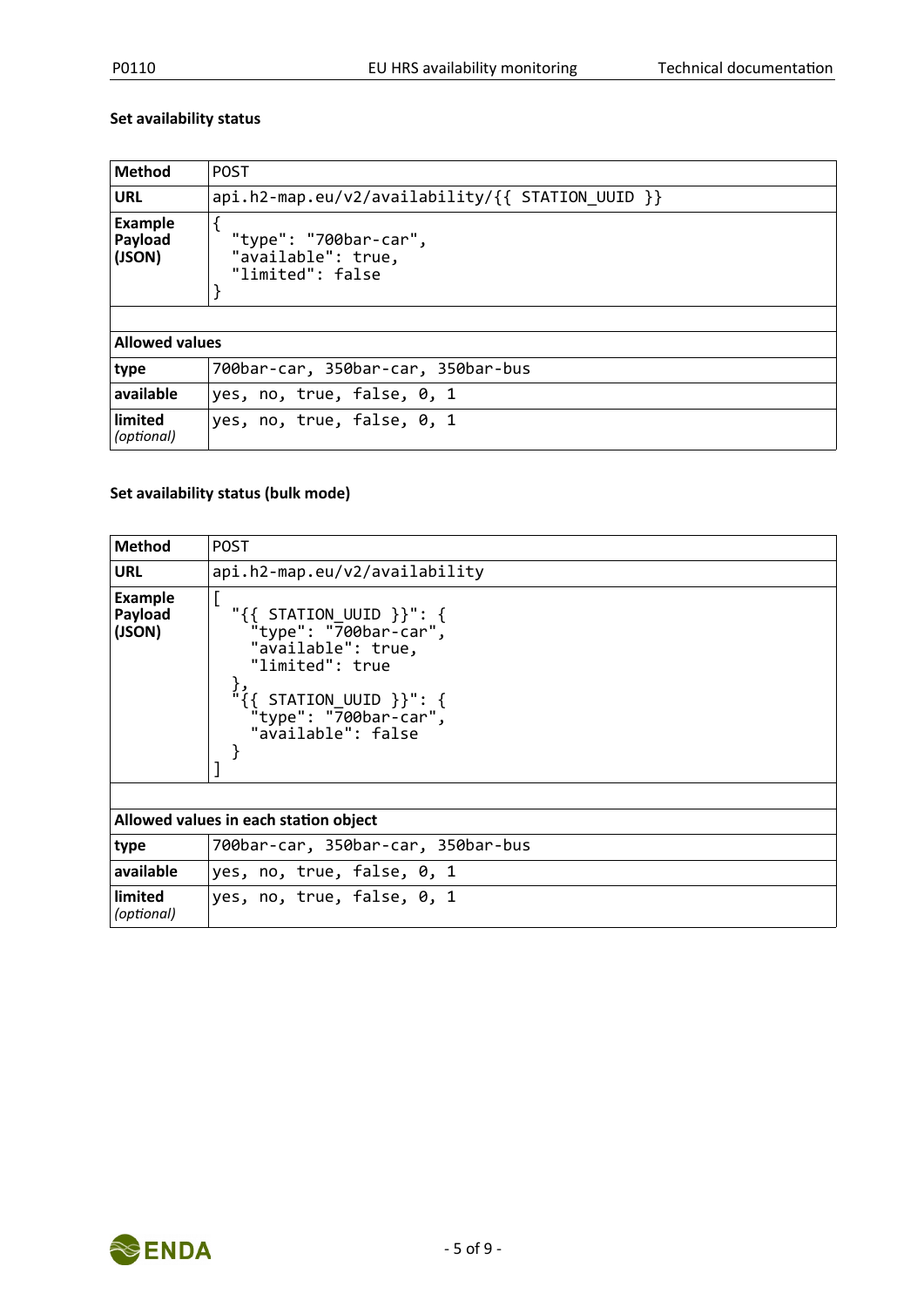#### **Set availability status**

| <b>Method</b>                       | <b>POST</b>                                                     |  |
|-------------------------------------|-----------------------------------------------------------------|--|
| <b>URL</b>                          | $api.h2-map.eu/v2/availability/{f} STATION UUID\n}$             |  |
| <b>Example</b><br>Payload<br>(JSON) | "type": "700bar-car",<br>"available": true,<br>"limited": false |  |
| <b>Allowed values</b>               |                                                                 |  |
| type                                | 700bar-car, 350bar-car, 350bar-bus                              |  |
| available                           | yes, no, true, false, 0, 1                                      |  |
| limited<br>(optional)               | yes, no, true, false, 0, 1                                      |  |

#### **Set availability status (bulk mode)**

| <b>Method</b>                       | <b>POST</b>                                                                                                                                                                                                        |  |
|-------------------------------------|--------------------------------------------------------------------------------------------------------------------------------------------------------------------------------------------------------------------|--|
| <b>URL</b>                          | api.h2-map.eu/v2/availability                                                                                                                                                                                      |  |
| <b>Example</b><br>Payload<br>(JSON) | " $\{\{\right\}$ STATION UUID $\}$ ": $\{\}$<br>"type": "700bar-car",<br>"available": true,<br>"limited": true<br>ر {<br>$"\{$ { STATION_UUID }}": {<br>"type": " $\overline{7}00$ bar-car",<br>"available": false |  |
|                                     |                                                                                                                                                                                                                    |  |
|                                     | Allowed values in each station object                                                                                                                                                                              |  |
| type                                | 700bar-car, 350bar-car, 350bar-bus                                                                                                                                                                                 |  |
| available                           | yes, no, true, false, 0, 1                                                                                                                                                                                         |  |
| limited<br>(optional)               | yes, no, true, false, 0, 1                                                                                                                                                                                         |  |

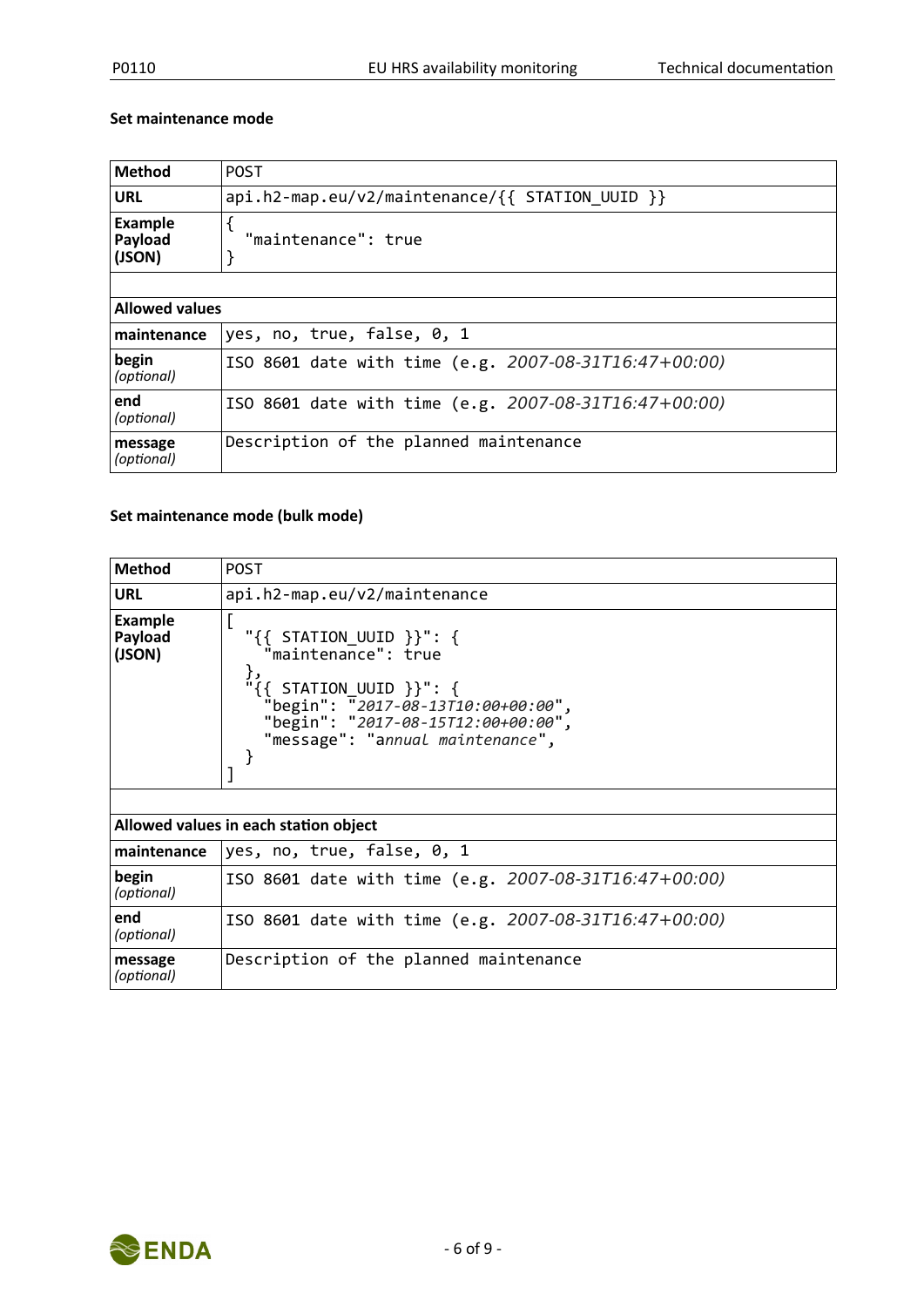#### **Set maintenance mode**

| <b>Method</b>                                                     | <b>POST</b>                                           |  |  |
|-------------------------------------------------------------------|-------------------------------------------------------|--|--|
| $api.h2-map.eu/v2/maintenance/\{\} STATION UUID \}$<br><b>URL</b> |                                                       |  |  |
| <b>Example</b><br>Payload<br>(JSON)                               | "maintenance": true                                   |  |  |
|                                                                   |                                                       |  |  |
|                                                                   | <b>Allowed values</b>                                 |  |  |
| maintenance                                                       | yes, no, true, false, 0, 1                            |  |  |
| begin<br>(optional)                                               | ISO 8601 date with time (e.g. 2007-08-31T16:47+00:00) |  |  |
| end<br>(optional)                                                 | ISO 8601 date with time (e.g. 2007-08-31T16:47+00:00) |  |  |
| message<br>(optional)                                             | Description of the planned maintenance                |  |  |

#### **Set maintenance mode (bulk mode)**

| <b>Method</b>                         | <b>POST</b>                                                                                                                                                                                                         |  |  |
|---------------------------------------|---------------------------------------------------------------------------------------------------------------------------------------------------------------------------------------------------------------------|--|--|
| <b>URL</b>                            | api.h2-map.eu/v2/maintenance                                                                                                                                                                                        |  |  |
| Example<br>Payload<br>(JSON)          | $"\{\}$ STATION_UUID $\}$ $\cdot$ $\{\}$<br>"maintenance": true<br>},<br>$i$ {{ STATION_UUID }}": {<br>"begin": "2017-08-13T10:00+00:00",<br>"begin": "2017-08-15T12:00+00:00",<br>"message": "annual maintenance", |  |  |
|                                       |                                                                                                                                                                                                                     |  |  |
| Allowed values in each station object |                                                                                                                                                                                                                     |  |  |
| maintenance                           | yes, no, true, false, 0, 1                                                                                                                                                                                          |  |  |
| begin<br>(optional)                   | ISO 8601 date with time (e.g. 2007-08-31T16:47+00:00)                                                                                                                                                               |  |  |
| end<br>(optional)                     | ISO 8601 date with time (e.g. 2007-08-31T16:47+00:00)                                                                                                                                                               |  |  |
| message<br>(optional)                 | Description of the planned maintenance                                                                                                                                                                              |  |  |

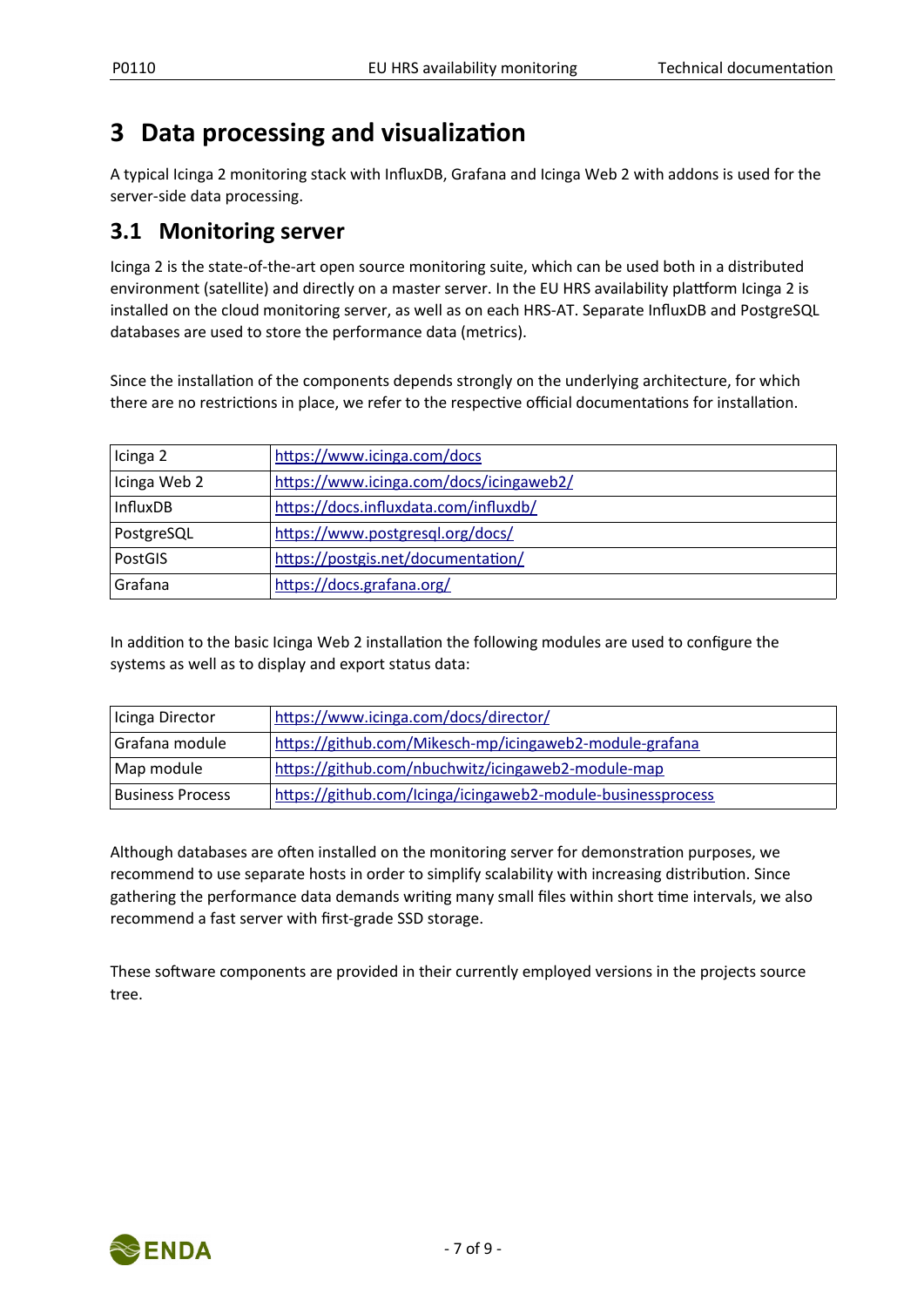## <span id="page-6-0"></span>**3 Data processing and visualization**

A typical Icinga 2 monitoring stack with InfluxDB, Grafana and Icinga Web 2 with addons is used for the server-side data processing.

### **3.1 Monitoring server**

Icinga 2 is the state-of-the-art open source monitoring suite, which can be used both in a distributed environment (satellite) and directly on a master server. In the EU HRS availability plattform Icinga 2 is installed on the cloud monitoring server, as well as on each HRS-AT. Separate InfluxDB and PostgreSQL databases are used to store the performance data (metrics).

Since the installation of the components depends strongly on the underlying architecture, for which there are no restrictions in place, we refer to the respective official documentations for installation.

| Icinga 2        | https://www.icinga.com/docs             |
|-----------------|-----------------------------------------|
| Icinga Web 2    | https://www.icinga.com/docs/icingaweb2/ |
| <b>InfluxDB</b> | https://docs.influxdata.com/influxdb/   |
| PostgreSQL      | https://www.postgresql.org/docs/        |
| PostGIS         | https://postgis.net/documentation/      |
| Grafana         | https://docs.grafana.org/               |

In addition to the basic Icinga Web 2 installation the following modules are used to configure the systems as well as to display and export status data:

| Icinga Director  | https://www.icinga.com/docs/director/                       |
|------------------|-------------------------------------------------------------|
| Grafana module   | https://github.com/Mikesch-mp/icingaweb2-module-grafana     |
| Map module       | https://github.com/nbuchwitz/icingaweb2-module-map          |
| Business Process | https://github.com/Icinga/icingaweb2-module-businessprocess |

Although databases are often installed on the monitoring server for demonstration purposes, we recommend to use separate hosts in order to simplify scalability with increasing distribution. Since gathering the performance data demands writing many small files within short time intervals, we also recommend a fast server with first-grade SSD storage.

These software components are provided in their currently employed versions in the projects source tree.

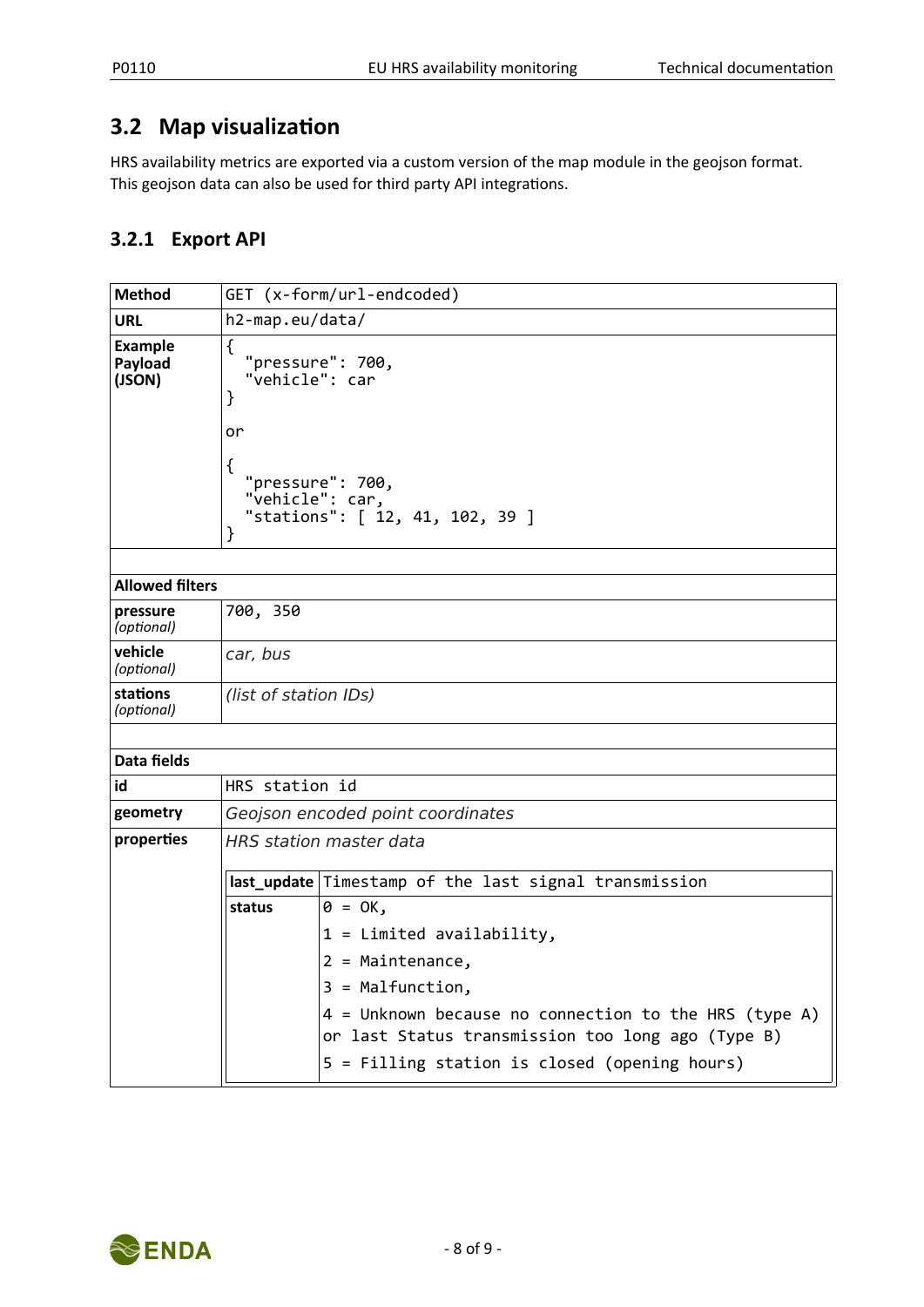### **3.2 Map visualization**

HRS availability metrics are exported via a custom version of the map module in the geojson format. This geojson data can also be used for third party API integrations.

#### **3.2.1 Export API**

| <b>Method</b>                       | GET (x-form/url-endcoded)                                                                                                              |                                                                                                                                                               |  |
|-------------------------------------|----------------------------------------------------------------------------------------------------------------------------------------|---------------------------------------------------------------------------------------------------------------------------------------------------------------|--|
| URL                                 | h2-map.eu/data/                                                                                                                        |                                                                                                                                                               |  |
| <b>Example</b><br>Payload<br>(JSON) | ₹<br>"pressure": 700,<br>"vehicle": car<br>}<br>or<br>₹<br>"pressure": 700,<br>"vehicle": car,<br>"stations": [ 12, 41, 102, 39 ]<br>} |                                                                                                                                                               |  |
| <b>Allowed filters</b>              |                                                                                                                                        |                                                                                                                                                               |  |
| pressure<br>(optional)              | 700, 350                                                                                                                               |                                                                                                                                                               |  |
| vehicle<br>(optional)               | car, bus                                                                                                                               |                                                                                                                                                               |  |
| stations<br>(optional)              | (list of station IDs)                                                                                                                  |                                                                                                                                                               |  |
|                                     |                                                                                                                                        |                                                                                                                                                               |  |
| Data fields                         |                                                                                                                                        |                                                                                                                                                               |  |
| id                                  | HRS station id                                                                                                                         |                                                                                                                                                               |  |
| geometry                            |                                                                                                                                        | Geojson encoded point coordinates                                                                                                                             |  |
| properties                          | <b>HRS</b> station master data                                                                                                         |                                                                                                                                                               |  |
|                                     |                                                                                                                                        | last_update Timestamp of the last signal transmission                                                                                                         |  |
|                                     | status                                                                                                                                 | $\theta = OK$ ,                                                                                                                                               |  |
|                                     |                                                                                                                                        | $1 =$ Limited availability,                                                                                                                                   |  |
|                                     |                                                                                                                                        | $2 =$ Maintenance,                                                                                                                                            |  |
|                                     |                                                                                                                                        | $3 = \text{Malfunction}$ ,                                                                                                                                    |  |
|                                     |                                                                                                                                        | $4 =$ Unknown because no connection to the HRS (type A)<br>or last Status transmission too long ago (Type B)<br>5 = Filling station is closed (opening hours) |  |